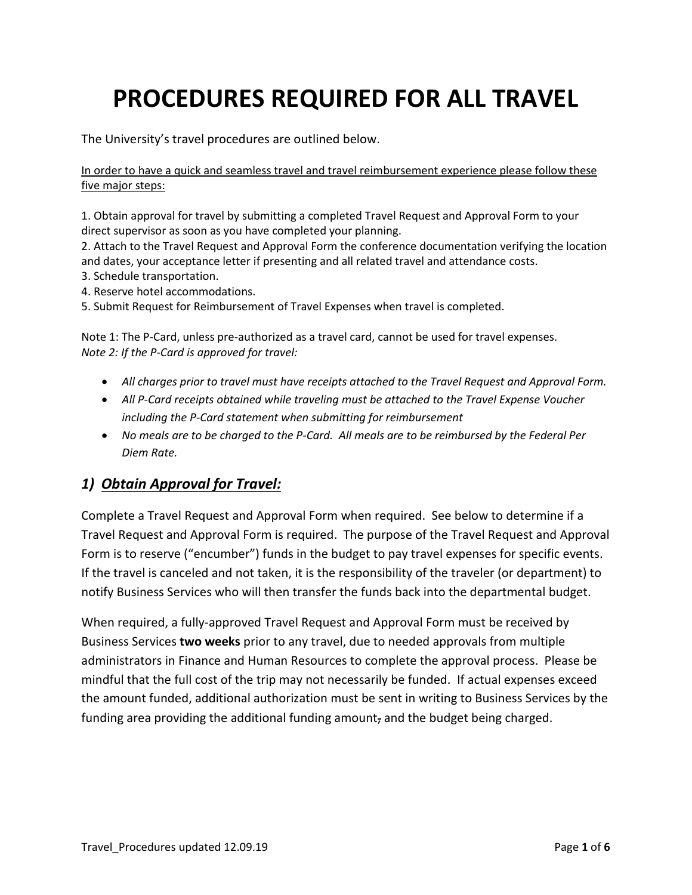# **PROCEDURES REQUIRED FOR ALL TRAVEL**

The University's travel procedures are outlined below.

In order to have a quick and seamless travel and travel reimbursement experience please follow these five major steps:

1. Obtain approval for travel by submitting a completed Travel Request and Approval Form to your direct supervisor as soon as you have completed your planning.

2. Attach to the Travel Request and Approval Form the conference documentation verifying the location and dates, your acceptance letter if presenting and all related travel and attendance costs.

- 3. Schedule transportation.
- 4. Reserve hotel accommodations.

5. Submit Request for Reimbursement of Travel Expenses when travel is completed.

Note 1: The P-Card, unless pre-authorized as a travel card, cannot be used for travel expenses. *Note 2: If the P-Card is approved for travel:*

- *All charges prior to travel must have receipts attached to the Travel Request and Approval Form.*
- *All P-Card receipts obtained while traveling must be attached to the Travel Expense Voucher including the P-Card statement when submitting for reimbursement*
- *No meals are to be charged to the P-Card. All meals are to be reimbursed by the Federal Per Diem Rate.*

# *1) Obtain Approval for Travel:*

Complete a Travel Request and Approval Form when required. See below to determine if a Travel Request and Approval Form is required. The purpose of the Travel Request and Approval Form is to reserve ("encumber") funds in the budget to pay travel expenses for specific events. If the travel is canceled and not taken, it is the responsibility of the traveler (or department) to notify Business Services who will then transfer the funds back into the departmental budget.

When required, a fully-approved Travel Request and Approval Form must be received by Business Services **two weeks** prior to any travel, due to needed approvals from multiple administrators in Finance and Human Resources to complete the approval process. Please be mindful that the full cost of the trip may not necessarily be funded. If actual expenses exceed the amount funded, additional authorization must be sent in writing to Business Services by the funding area providing the additional funding amount, and the budget being charged.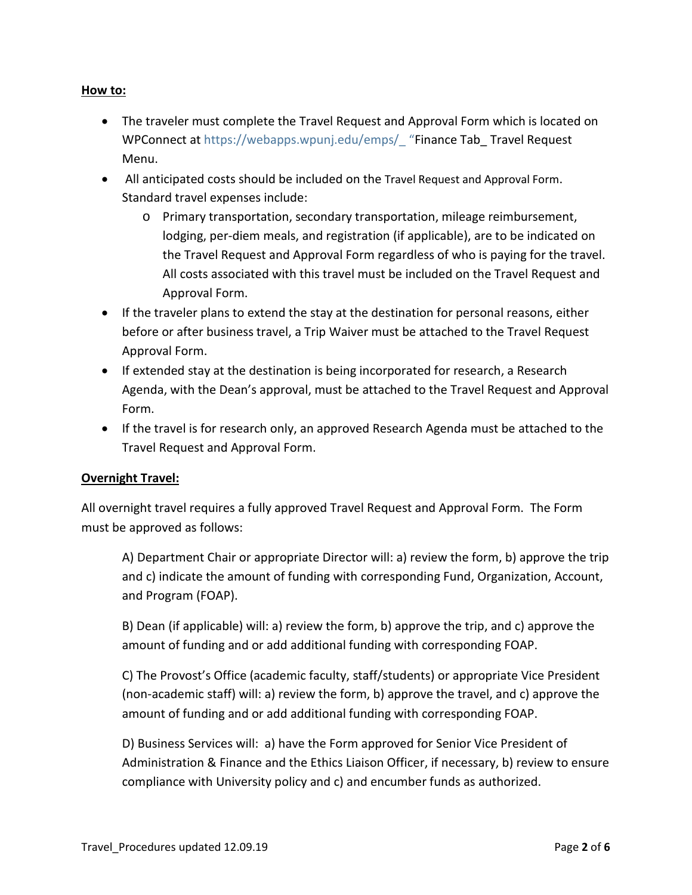#### **How to:**

- The traveler must complete the Travel Request and Approval Form which is located on WPConnect at https://webapps.wpunj.edu/emps/ "Finance Tab\_ Travel Request Menu.
- All anticipated costs should be included on the Travel Request and Approval Form. Standard travel expenses include:
	- o Primary transportation, secondary transportation, mileage reimbursement, lodging, per-diem meals, and registration (if applicable), are to be indicated on the Travel Request and Approval Form regardless of who is paying for the travel. All costs associated with this travel must be included on the Travel Request and Approval Form.
- If the traveler plans to extend the stay at the destination for personal reasons, either before or after business travel, a Trip Waiver must be attached to the Travel Request Approval Form.
- If extended stay at the destination is being incorporated for research, a Research Agenda, with the Dean's approval, must be attached to the Travel Request and Approval Form.
- If the travel is for research only, an approved Research Agenda must be attached to the Travel Request and Approval Form.

#### **Overnight Travel:**

All overnight travel requires a fully approved Travel Request and Approval Form. The Form must be approved as follows:

A) Department Chair or appropriate Director will: a) review the form, b) approve the trip and c) indicate the amount of funding with corresponding Fund, Organization, Account, and Program (FOAP).

B) Dean (if applicable) will: a) review the form, b) approve the trip, and c) approve the amount of funding and or add additional funding with corresponding FOAP.

C) The Provost's Office (academic faculty, staff/students) or appropriate Vice President (non-academic staff) will: a) review the form, b) approve the travel, and c) approve the amount of funding and or add additional funding with corresponding FOAP.

D) Business Services will: a) have the Form approved for Senior Vice President of Administration & Finance and the Ethics Liaison Officer, if necessary, b) review to ensure compliance with University policy and c) and encumber funds as authorized.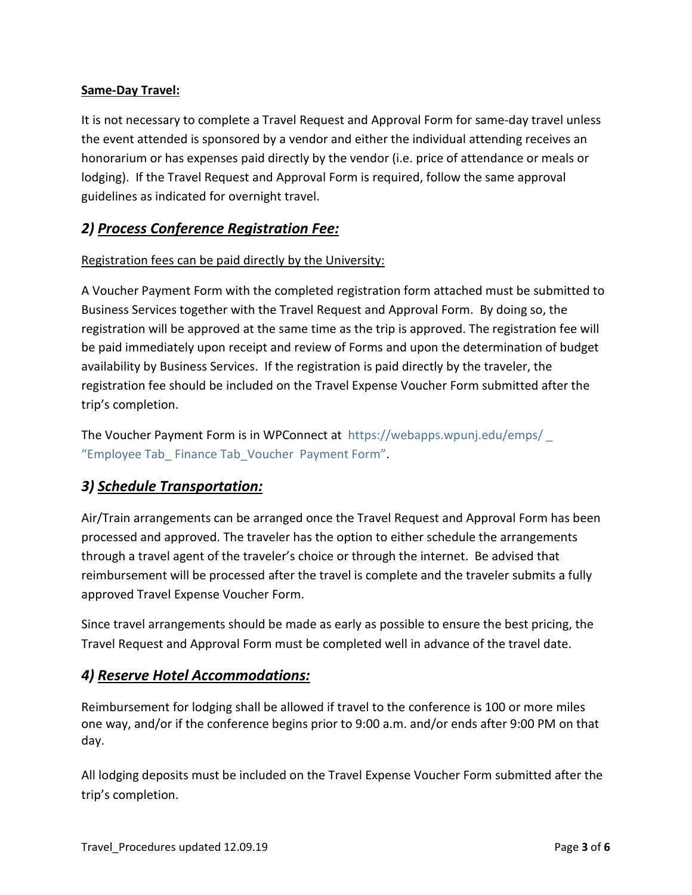#### **Same-Day Travel:**

It is not necessary to complete a Travel Request and Approval Form for same-day travel unless the event attended is sponsored by a vendor and either the individual attending receives an honorarium or has expenses paid directly by the vendor (i.e. price of attendance or meals or lodging). If the Travel Request and Approval Form is required, follow the same approval guidelines as indicated for overnight travel.

## *2) Process Conference Registration Fee:*

#### Registration fees can be paid directly by the University:

A Voucher Payment Form with the completed registration form attached must be submitted to Business Services together with the Travel Request and Approval Form. By doing so, the registration will be approved at the same time as the trip is approved. The registration fee will be paid immediately upon receipt and review of Forms and upon the determination of budget availability by Business Services. If the registration is paid directly by the traveler, the registration fee should be included on the Travel Expense Voucher Form submitted after the trip's completion.

The Voucher Payment Form is in WPConnect at <https://webapps.wpunj.edu/emps/> \_ "Employee Tab\_ Finance Tab\_Voucher Payment Form".

## *3) Schedule Transportation:*

Air/Train arrangements can be arranged once the Travel Request and Approval Form has been processed and approved. The traveler has the option to either schedule the arrangements through a travel agent of the traveler's choice or through the internet. Be advised that reimbursement will be processed after the travel is complete and the traveler submits a fully approved Travel Expense Voucher Form.

Since travel arrangements should be made as early as possible to ensure the best pricing, the Travel Request and Approval Form must be completed well in advance of the travel date.

## *4) Reserve Hotel Accommodations:*

Reimbursement for lodging shall be allowed if travel to the conference is 100 or more miles one way, and/or if the conference begins prior to 9:00 a.m. and/or ends after 9:00 PM on that day.

All lodging deposits must be included on the Travel Expense Voucher Form submitted after the trip's completion.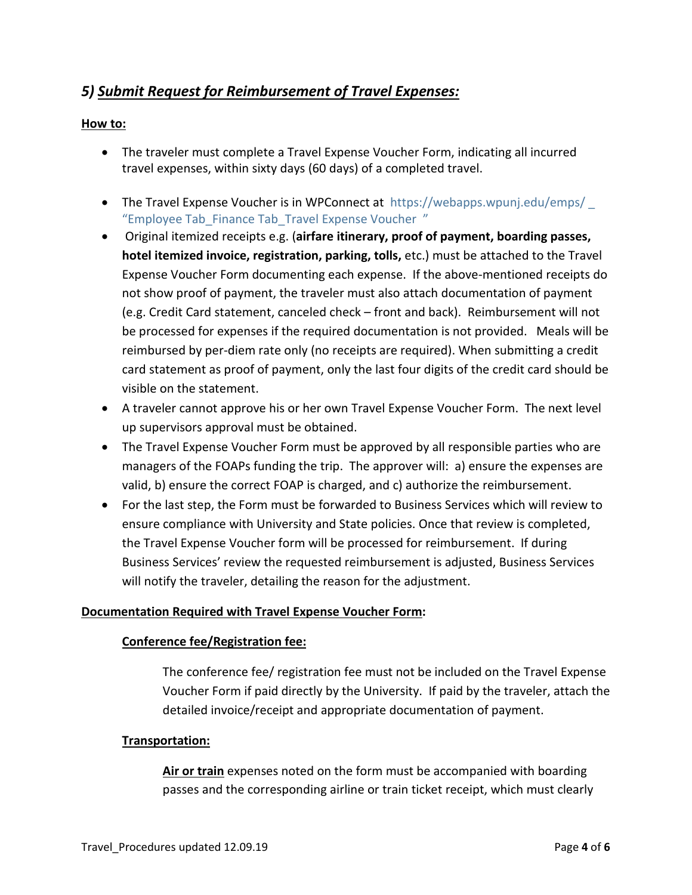# *5) Submit Request for Reimbursement of Travel Expenses:*

#### **How to:**

- The traveler must complete a Travel Expense Voucher Form, indicating all incurred travel expenses, within sixty days (60 days) of a completed travel.
- The Travel Expense Voucher is in WPConnect at <https://webapps.wpunj.edu/emps/> "Employee Tab\_Finance Tab\_Travel Expense Voucher "
- Original itemized receipts e.g. (**airfare itinerary, proof of payment, boarding passes, hotel itemized invoice, registration, parking, tolls,** etc.) must be attached to the Travel Expense Voucher Form documenting each expense. If the above-mentioned receipts do not show proof of payment, the traveler must also attach documentation of payment (e.g. Credit Card statement, canceled check – front and back). Reimbursement will not be processed for expenses if the required documentation is not provided. Meals will be reimbursed by per-diem rate only (no receipts are required). When submitting a credit card statement as proof of payment, only the last four digits of the credit card should be visible on the statement.
- A traveler cannot approve his or her own Travel Expense Voucher Form. The next level up supervisors approval must be obtained.
- The Travel Expense Voucher Form must be approved by all responsible parties who are managers of the FOAPs funding the trip. The approver will: a) ensure the expenses are valid, b) ensure the correct FOAP is charged, and c) authorize the reimbursement.
- For the last step, the Form must be forwarded to Business Services which will review to ensure compliance with University and State policies. Once that review is completed, the Travel Expense Voucher form will be processed for reimbursement. If during Business Services' review the requested reimbursement is adjusted, Business Services will notify the traveler, detailing the reason for the adjustment.

#### **Documentation Required with Travel Expense Voucher Form:**

#### **Conference fee/Registration fee:**

The conference fee/ registration fee must not be included on the Travel Expense Voucher Form if paid directly by the University. If paid by the traveler, attach the detailed invoice/receipt and appropriate documentation of payment.

#### **Transportation:**

**Air or train** expenses noted on the form must be accompanied with boarding passes and the corresponding airline or train ticket receipt, which must clearly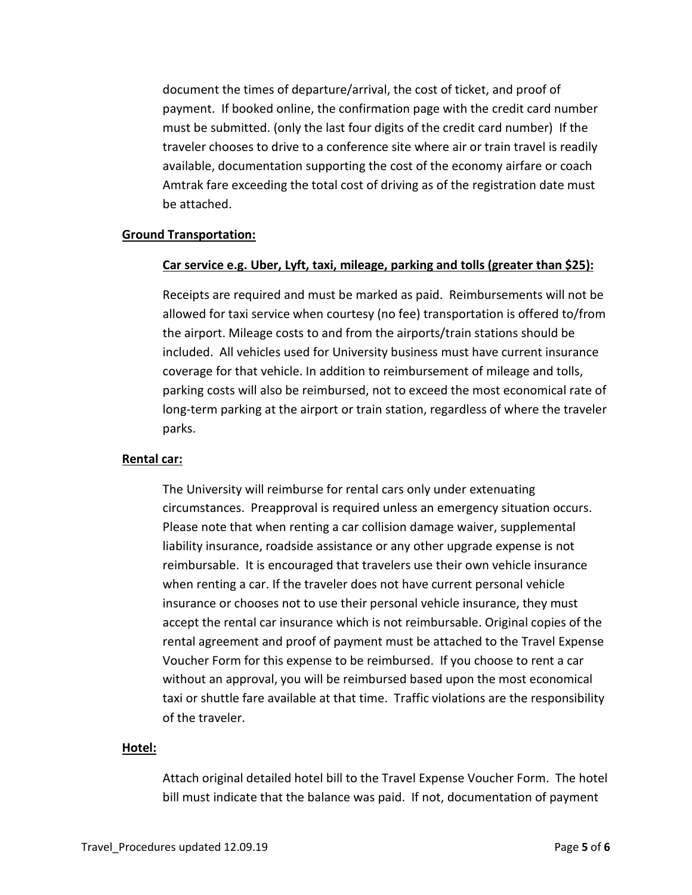document the times of departure/arrival, the cost of ticket, and proof of payment. If booked online, the confirmation page with the credit card number must be submitted. (only the last four digits of the credit card number) If the traveler chooses to drive to a conference site where air or train travel is readily available, documentation supporting the cost of the economy airfare or coach Amtrak fare exceeding the total cost of driving as of the registration date must be attached.

#### **Ground Transportation:**

#### **Car service e.g. Uber, Lyft, taxi, mileage, parking and tolls (greater than \$25):**

Receipts are required and must be marked as paid. Reimbursements will not be allowed for taxi service when courtesy (no fee) transportation is offered to/from the airport. Mileage costs to and from the airports/train stations should be included. All vehicles used for University business must have current insurance coverage for that vehicle. In addition to reimbursement of mileage and tolls, parking costs will also be reimbursed, not to exceed the most economical rate of long-term parking at the airport or train station, regardless of where the traveler parks.

#### **Rental car:**

The University will reimburse for rental cars only under extenuating circumstances. Preapproval is required unless an emergency situation occurs. Please note that when renting a car collision damage waiver, supplemental liability insurance, roadside assistance or any other upgrade expense is not reimbursable. It is encouraged that travelers use their own vehicle insurance when renting a car. If the traveler does not have current personal vehicle insurance or chooses not to use their personal vehicle insurance, they must accept the rental car insurance which is not reimbursable. Original copies of the rental agreement and proof of payment must be attached to the Travel Expense Voucher Form for this expense to be reimbursed. If you choose to rent a car without an approval, you will be reimbursed based upon the most economical taxi or shuttle fare available at that time. Traffic violations are the responsibility of the traveler.

#### **Hotel:**

Attach original detailed hotel bill to the Travel Expense Voucher Form. The hotel bill must indicate that the balance was paid. If not, documentation of payment